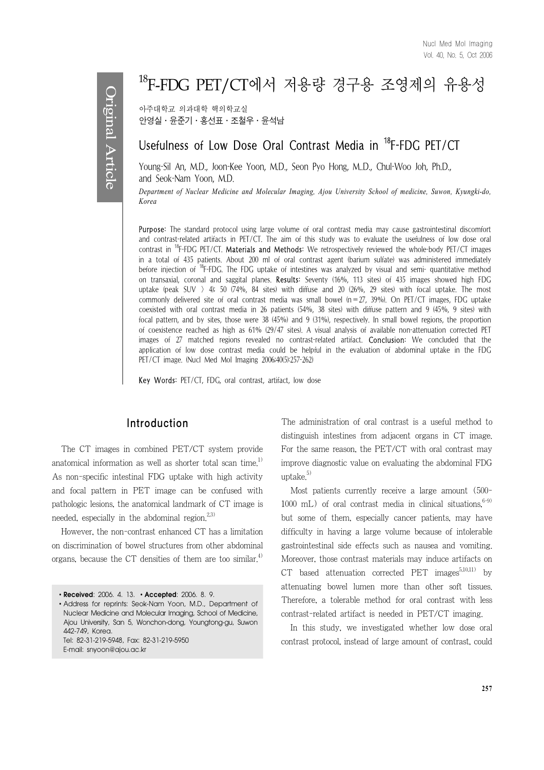# 18F-FDG PET/CT에서 저용량 경구용 조영제의 유용성

아주대학교 의과대학 핵의학교실  $P$ 연설·윤준기·홍선표·조철우·윤석남

## Usefulness of Low Dose Oral Contrast Media in <sup>18</sup>F-FDG PET/CT

Young-Sil An, M.D., Joon-Kee Yoon, M.D., Seon Pyo Hong, M..D., Chul-Woo Joh, Ph.D., and Seok-Nam Yoon, M.D.

*Department of Nuclear Medicine and Molecular Imaging, Ajou University School of medicine, Suwon, Kyungki-do, Korea*

Purpose: The standard protocol using large volume of oral contrast media may cause gastrointestinal discomfort and contrast-related artifacts in PET/CT. The aim of this study was to evaluate the usefulness of low dose oral contrast in  $^{18}F$ -FDG PET/CT. Materials and Methods: We retrospectively reviewed the whole-body PET/CT images in a total of 435 patients. About 200 ml of oral contrast agent (barium sulfate) was administered immediately before injection of 18F-FDG. The FDG uptake of intestines was analyzed by visual and semi- quantitative method on transaxial, coronal and saggital planes. Results: Seventy (16%, 113 sites) of 435 images showed high FDG uptake (peak SUV  $>$  4); 50 (74%, 84 sites) with diffuse and 20 (26%, 29 sites) with focal uptake. The most commonly delivered site of oral contrast media was small bowel  $(n=27, 39%)$ . On PET/CT images, FDG uptake coexisted with oral contrast media in 26 patients (54%, 38 sites) with diffuse pattern and 9 (45%, 9 sites) with focal pattern, and by sites, those were 38 (45%) and 9 (31%), respectively. In small bowel regions, the proportion of coexistence reached as high as 61% (29/47 sites). A visual analysis of available non-attenuation corrected PET images of 27 matched regions revealed no contrast-related artifact. Conclusion: We concluded that the application of low dose contrast media could be helpful in the evaluation of abdominal uptake in the FDG PET/CT image. (Nucl Med Mol Imaging 2006;40(5):257-262)

Key Words: PET/CT, FDG, oral contrast, artifact, low dose

## Introduction

The CT images in combined PET/CT system provide anatomical information as well as shorter total scan time.<sup>1)</sup> As non-specific intestinal FDG uptake with high activity and focal pattern in PET image can be confused with pathologic lesions, the anatomical landmark of CT image is needed, especially in the abdominal region.<sup>2,3)</sup>

However, the non-contrast enhanced CT has a limitation on discrimination of bowel structures from other abdominal organs, because the CT densities of them are too similar.<sup>4)</sup>

E-mail: snyoon@ajou.ac.kr

The administration of oral contrast is a useful method to distinguish intestines from adjacent organs in CT image. For the same reason, the PET/CT with oral contrast may improve diagnostic value on evaluating the abdominal FDG uptake. $5)$ 

Most patients currently receive a large amount (500- 1000 mL) of oral contrast media in clinical situations,  $6-9$ but some of them, especially cancer patients, may have difficulty in having a large volume because of intolerable gastrointestinal side effects such as nausea and vomiting. Moreover, those contrast materials may induce artifacts on  $CT$  based attenuation corrected PET images<sup>5,10,11)</sup> by attenuating bowel lumen more than other soft tissues. Therefore, a tolerable method for oral contrast with less contrast-related artifact is needed in PET/CT imaging.

In this study, we investigated whether low dose oral contrast protocol, instead of large amount of contrast, could

<sup>∙</sup>**Received**: 2006. 4. 13. ∙**Accepted**: 2006. 8. 9.

<sup>∙</sup>Address for reprints: Seok-Nam Yoon, M.D., Department of Nuclear Medicine and Molecular Imaging, School of Medicine, Ajou University, San 5, Wonchon-dong, Youngtong-gu, Suwon 442-749, Korea. Tel: 82-31-219-5948, Fax: 82-31-219-5950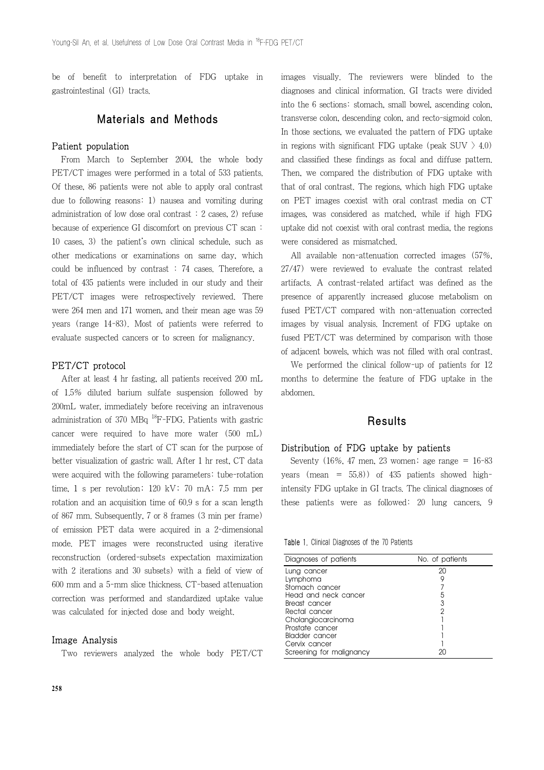be of benefit to interpretation of FDG uptake in gastrointestinal (GI) tracts.

## Materials and Methods

#### Patient population

From March to September 2004, the whole body PET/CT images were performed in a total of 533 patients. Of these, 86 patients were not able to apply oral contrast due to following reasons: 1) nausea and vomiting during administration of low dose oral contrast : 2 cases, 2) refuse because of experience GI discomfort on previous CT scan : 10 cases, 3) the patient's own clinical schedule, such as other medications or examinations on same day, which could be influenced by contrast : 74 cases. Therefore, a total of 435 patients were included in our study and their PET/CT images were retrospectively reviewed. There were 264 men and 171 women, and their mean age was 59 years (range 14-83). Most of patients were referred to evaluate suspected cancers or to screen for malignancy.

#### PET/CT protocol

After at least 4 hr fasting, all patients received 200 mL of 1.5% diluted barium sulfate suspension followed by 200mL water, immediately before receiving an intravenous administration of 370 MBq  $^{18}$ F-FDG. Patients with gastric cancer were required to have more water (500 mL) immediately before the start of CT scan for the purpose of better visualization of gastric wall. After 1 hr rest, CT data were acquired with the following parameters: tube-rotation time, 1 s per revolution; 120 kV; 70 mA; 7.5 mm per rotation and an acquisition time of 60.9 s for a scan length of 867 mm. Subsequently, 7 or 8 frames (3 min per frame) of emission PET data were acquired in a 2-dimensional mode. PET images were reconstructed using iterative reconstruction (ordered-subsets expectation maximization with 2 iterations and 30 subsets) with a field of view of 600 mm and a 5-mm slice thickness. CT-based attenuation correction was performed and standardized uptake value was calculated for injected dose and body weight.

#### Image Analysis

Two reviewers analyzed the whole body PET/CT

images visually. The reviewers were blinded to the diagnoses and clinical information. GI tracts were divided into the 6 sections: stomach, small bowel, ascending colon, transverse colon, descending colon, and recto-sigmoid colon. In those sections, we evaluated the pattern of FDG uptake in regions with significant FDG uptake (peak SUV  $\geq 4.0$ ) and classified these findings as focal and diffuse pattern. Then, we compared the distribution of FDG uptake with that of oral contrast. The regions, which high FDG uptake on PET images coexist with oral contrast media on CT images, was considered as matched, while if high FDG uptake did not coexist with oral contrast media, the regions were considered as mismatched.

All available non-attenuation corrected images (57%, 27/47) were reviewed to evaluate the contrast related artifacts. A contrast-related artifact was defined as the presence of apparently increased glucose metabolism on fused PET/CT compared with non-attenuation corrected images by visual analysis. Increment of FDG uptake on fused PET/CT was determined by comparison with those of adjacent bowels, which was not filled with oral contrast.

We performed the clinical follow-up of patients for 12 months to determine the feature of FDG uptake in the abdomen.

### **Results**

#### Distribution of FDG uptake by patients

Seventy (16%, 47 men, 23 women; age range =  $16-83$ years (mean =  $55.8$ )) of 435 patients showed highintensity FDG uptake in GI tracts. The clinical diagnoses of these patients were as followed: 20 lung cancers, 9

Table 1. Clinical Diagnoses of the 70 Patients

| Diagnoses of patients    | No. of patients |
|--------------------------|-----------------|
| Lung cancer              | 20              |
| Lymphoma                 | 9               |
| Stomach cancer           |                 |
| Head and neck cancer     | 5               |
| Breast cancer            | 3               |
| Rectal cancer            |                 |
| Cholangiocarcinoma       |                 |
| Prostate cancer          |                 |
| Bladder cancer           |                 |
| Cervix cancer            |                 |
| Screening for malignancy |                 |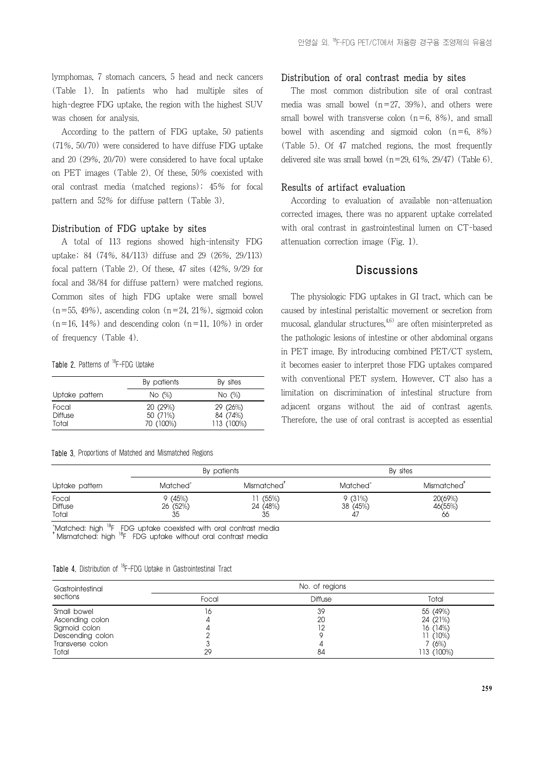lymphomas, 7 stomach cancers, 5 head and neck cancers (Table 1). In patients who had multiple sites of high-degree FDG uptake, the region with the highest SUV was chosen for analysis.

According to the pattern of FDG uptake, 50 patients (71%, 50/70) were considered to have diffuse FDG uptake and 20 (29%, 20/70) were considered to have focal uptake on PET images (Table 2). Of these, 50% coexisted with oral contrast media (matched regions); 45% for focal pattern and 52% for diffuse pattern (Table 3).

#### Distribution of FDG uptake by sites

A total of 113 regions showed high-intensity FDG uptake; 84 (74%, 84/113) diffuse and 29 (26%, 29/113) focal pattern (Table 2). Of these, 47 sites (42%, 9/29 for focal and 38/84 for diffuse pattern) were matched regions. Common sites of high FDG uptake were small bowel  $(n=55, 49\%)$ , ascending colon  $(n=24, 21\%)$ , sigmoid colon  $(n=16, 14\%)$  and descending colon  $(n=11, 10\%)$  in order of frequency (Table 4).

#### Table 2. Patterns of <sup>18</sup>F-FDG Uptake

|                         | By patients         | By sites             |
|-------------------------|---------------------|----------------------|
| Uptake pattern          | No $(\%)$           | No $(\%)$            |
| Focal<br><b>Diffuse</b> | 20(29%)<br>50 (71%) | 29 (26%)<br>84 (74%) |
| Total                   | 70 (100%)           | 113 (100%)           |

Table 3. Proportions of Matched and Mismatched Regions

#### Distribution of oral contrast media by sites

The most common distribution site of oral contrast media was small bowel  $(n=27, 39%)$ , and others were small bowel with transverse colon  $(n=6, 8%)$ , and small bowel with ascending and sigmoid colon  $(n=6, 8\%)$ (Table 5). Of 47 matched regions, the most frequently delivered site was small bowel  $(n=29, 61\%, 29/47)$  (Table 6).

#### Results of artifact evaluation

According to evaluation of available non-attenuation corrected images, there was no apparent uptake correlated with oral contrast in gastrointestinal lumen on CT-based attenuation correction image (Fig. 1).

## **Discussions**

The physiologic FDG uptakes in GI tract, which can be caused by intestinal peristaltic movement or secretion from mucosal, glandular structures, $4,6$ ) are often misinterpreted as the pathologic lesions of intestine or other abdominal organs in PET image. By introducing combined PET/CT system, it becomes easier to interpret those FDG uptakes compared with conventional PET system. However, CT also has a limitation on discrimination of intestinal structure from adjacent organs without the aid of contrast agents. Therefore, the use of oral contrast is accepted as essential

|                                  |                           | By patients             | By sites                 |                          |  |
|----------------------------------|---------------------------|-------------------------|--------------------------|--------------------------|--|
| Uptake pattern                   | Matched <sup>*</sup>      | Mismatched'             | Matched <sup>®</sup>     | Mismatched <sup>'</sup>  |  |
| Focal<br><b>Diffuse</b><br>Total | 9 (45%)<br>26 (52%)<br>35 | (55%)<br>24 (48%)<br>35 | 9(31%)<br>38 (45%)<br>47 | 20(69%)<br>46(55%)<br>66 |  |

.\*Matched: high <sup>18</sup>F FDG uptake coexisted with oral contrast media<br><sup>\*</sup> Mismatched: high <sup>18</sup>F FDG uptake without oral contrast media

|  |  |  |  |  |  |  | <b>Table 4.</b> Distribution of <sup>18</sup> F-FDG Uptake in Gastrointestinal Tract |  |
|--|--|--|--|--|--|--|--------------------------------------------------------------------------------------|--|
|--|--|--|--|--|--|--|--------------------------------------------------------------------------------------|--|

| Gastrointestinal<br>sections | No. of regions |         |            |  |  |
|------------------------------|----------------|---------|------------|--|--|
|                              | Focal          | Diffuse | Total      |  |  |
| Small bowel                  | 16             | 39      | 55 (49%)   |  |  |
| Ascending colon              |                | 20      | 24 (21%)   |  |  |
| Sigmoid colon                |                | 12      | 16(14%)    |  |  |
| Descending colon             |                |         | 11 (10%)   |  |  |
| Transverse colon             |                |         | ' (6%)     |  |  |
| Total                        | 29             | 84      | 113 (100%) |  |  |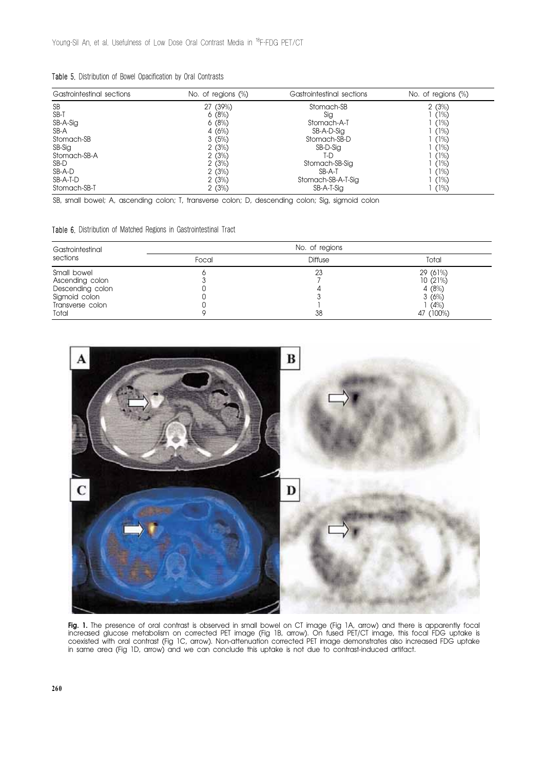|  |  |  |  |  | Table 5. Distribution of Bowel Opacification by Oral Contrasts |  |  |  |
|--|--|--|--|--|----------------------------------------------------------------|--|--|--|
|--|--|--|--|--|----------------------------------------------------------------|--|--|--|

| Gastrointestinal sections | No. of regions $(\%)$ | Gastrointestinal sections | No. of regions $(\%)$ |  |
|---------------------------|-----------------------|---------------------------|-----------------------|--|
| <b>SB</b>                 | 27 (39%)              | Stomach-SB                | 2(3%)                 |  |
| SB-T                      | 6(8%)                 | Sig                       | (1%)                  |  |
| SB-A-Sig                  | 6(8%)                 | Stomach-A-T               | (1%)                  |  |
| SB-A                      | 4 $(6%)$              | SB-A-D-Sig                | (1%)                  |  |
| Stomach-SB                | 3(5%)                 | Stomach-SB-D              | (1%)                  |  |
| SB-Sig                    | 2(3%)                 | SB-D-Sig                  | (1%)                  |  |
| Stomach-SB-A              | 2(3%)                 | T-D                       | (1%)                  |  |
| SB-D                      | 2(3%)                 | Stomach-SB-Sig            | (1%)                  |  |
| SB-A-D                    | 2(3%)                 | SB-A-T                    | (1%)                  |  |
| SB-A-T-D                  | 2(3%)                 | Stomach-SB-A-T-Sig        | (1%)                  |  |
| Stomach-SB-T              | 2(3%)                 | SB-A-T-Sig                | (1%)                  |  |

SB, small bowel; A, ascending colon; T, transverse colon; D, descending colon; Sig, sigmoid colon

Table 6. Distribution of Matched Regions in Gastrointestinal Tract

| Gastrointestinal<br>sections                                                                     |       | No. of regions |                                                             |
|--------------------------------------------------------------------------------------------------|-------|----------------|-------------------------------------------------------------|
|                                                                                                  | Focal | Diffuse        | Total                                                       |
| Small bowel<br>Ascending colon<br>Descending colon<br>Sigmoid colon<br>Transverse colon<br>Total |       | 23<br>38       | 29 (61%)<br>10(21%)<br>4(8%)<br>3(6%)<br>(4% )<br>47 (100%) |



**Fig. 1.** The presence of oral contrast is observed in small bowel on CT image (Fig TA, arrow) and there is apparently focal increased glucose metabolism on corrected PET image (Fig 1B, arrow). On fused PET/CT image, this focal FDG uptake is coexisted with oral contrast (Fig 1C, arrow). Non-attenuation corrected PET image demonstrates also increased FDG uptake in same area (Fig 1D, arrow) and we can conclude this uptake is not due to contrast-induced artifact.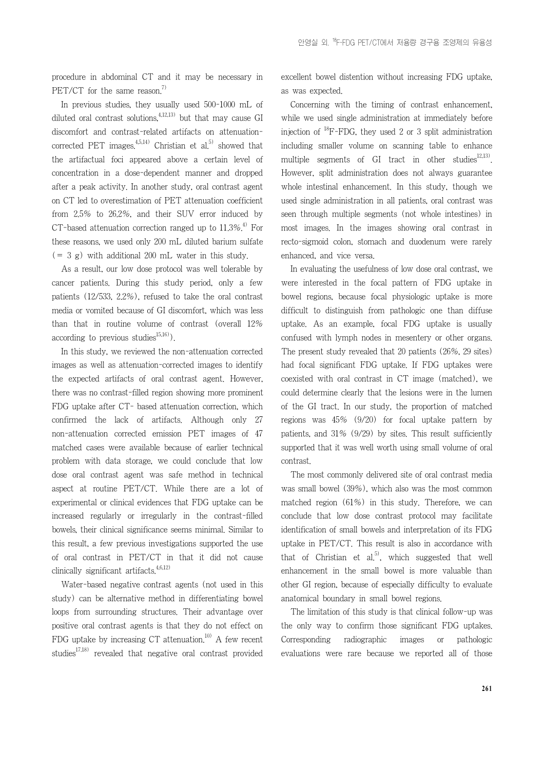procedure in abdominal CT and it may be necessary in PET/CT for the same reason.<sup>7)</sup>

In previous studies, they usually used 500-1000 mL of diluted oral contrast solutions, $4,12,13$  but that may cause GI discomfort and contrast-related artifacts on attenuationcorrected PET images. $4,5,14$ <sup>1</sup> Christian et al.<sup>5)</sup> showed that the artifactual foci appeared above a certain level of concentration in a dose-dependent manner and dropped after a peak activity. In another study, oral contrast agent on CT led to overestimation of PET attenuation coefficient from 2.5% to 26.2%, and their SUV error induced by CT-based attenuation correction ranged up to  $11.3\%$ <sup>4)</sup> For these reasons, we used only 200 mL diluted barium sulfate  $(= 3 g)$  with additional 200 mL water in this study.

As a result, our low dose protocol was well tolerable by cancer patients. During this study period, only a few patients (12/533, 2.2%), refused to take the oral contrast media or vomited because of GI discomfort, which was less than that in routine volume of contrast (overall 12% according to previous studies<sup>15,16)</sup>.

In this study, we reviewed the non-attenuation corrected images as well as attenuation-corrected images to identify the expected artifacts of oral contrast agent. However, there was no contrast-filled region showing more prominent FDG uptake after CT- based attenuation correction, which confirmed the lack of artifacts. Although only 27 non-attenuation corrected emission PET images of 47 matched cases were available because of earlier technical problem with data storage, we could conclude that low dose oral contrast agent was safe method in technical aspect at routine PET/CT. While there are a lot of experimental or clinical evidences that FDG uptake can be increased regularly or irregularly in the contrast-filled bowels, their clinical significance seems minimal. Similar to this result, a few previous investigations supported the use of oral contrast in PET/CT in that it did not cause clinically significant artifacts. $4,6,12$ )

Water-based negative contrast agents (not used in this study) can be alternative method in differentiating bowel loops from surrounding structures. Their advantage over positive oral contrast agents is that they do not effect on FDG uptake by increasing CT attenuation.<sup>10)</sup> A few recent studies<sup>17,18)</sup> revealed that negative oral contrast provided

excellent bowel distention without increasing FDG uptake, as was expected.

Concerning with the timing of contrast enhancement, while we used single administration at immediately before injection of  $^{18}$ F-FDG, they used 2 or 3 split administration including smaller volume on scanning table to enhance multiple segments of GI tract in other studies $12,13$ . However, split administration does not always guarantee whole intestinal enhancement. In this study, though we used single administration in all patients, oral contrast was seen through multiple segments (not whole intestines) in most images. In the images showing oral contrast in recto-sigmoid colon, stomach and duodenum were rarely enhanced, and vice versa.

In evaluating the usefulness of low dose oral contrast, we were interested in the focal pattern of FDG uptake in bowel regions, because focal physiologic uptake is more difficult to distinguish from pathologic one than diffuse uptake. As an example, focal FDG uptake is usually confused with lymph nodes in mesentery or other organs. The present study revealed that 20 patients (26%, 29 sites) had focal significant FDG uptake. If FDG uptakes were coexisted with oral contrast in CT image (matched), we could determine clearly that the lesions were in the lumen of the GI tract. In our study, the proportion of matched regions was 45% (9/20) for focal uptake pattern by patients, and 31% (9/29) by sites. This result sufficiently supported that it was well worth using small volume of oral contrast.

The most commonly delivered site of oral contrast media was small bowel (39%), which also was the most common matched region (61%) in this study. Therefore, we can conclude that low dose contrast protocol may facilitate identification of small bowels and interpretation of its FDG uptake in PET/CT. This result is also in accordance with that of Christian et al.<sup>5)</sup>, which suggested that well enhancement in the small bowel is more valuable than other GI region, because of especially difficulty to evaluate anatomical boundary in small bowel regions.

The limitation of this study is that clinical follow-up was the only way to confirm those significant FDG uptakes. Corresponding radiographic images or pathologic evaluations were rare because we reported all of those